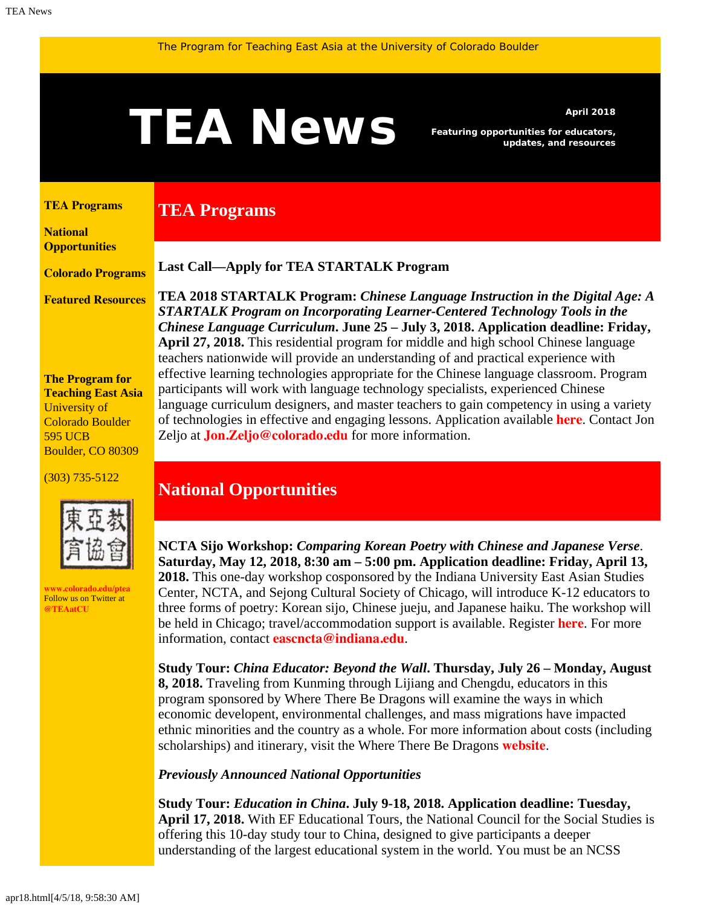# <span id="page-0-1"></span>A News *Featuring opportunities for educators,*<br>and resources

**TEA Programs**

*Featuring opportunities for educators, updates, and resources*

#### <span id="page-0-0"></span>**[TEA Programs](#page-0-0)**

**[National](#page-0-1)  [Opportunities](#page-0-1)**

**[Colorado Programs](#page-0-1)**

**[Featured Resources](#page-2-0)**

**The Program for Teaching East Asia** University of Colorado Boulder 595 UCB Boulder, CO 80309

(303) 735-5122



**[www.colorado.edu/ptea](http://www.colorado.edu/cas/tea)** Follow us on Twitter at **[@TEAatCU](https://twitter.com/TEAatCU)**

### **Last Call—Apply for TEA STARTALK Program**

**TEA 2018 STARTALK Program:** *Chinese Language Instruction in the Digital Age: A STARTALK Program on Incorporating Learner-Centered Technology Tools in the Chinese Language Curriculum***. June 25 – July 3, 2018. Application deadline: Friday, April 27, 2018.** This residential program for middle and high school Chinese language teachers nationwide will provide an understanding of and practical experience with effective learning technologies appropriate for the Chinese language classroom. Program participants will work with language technology specialists, experienced Chinese language curriculum designers, and master teachers to gain competency in using a variety of technologies in effective and engaging lessons. Application available **[here](https://www.colorado.edu/ptea/sites/default/files/attached-files/startalk_application_2018.pdf)**. Contact Jon Zeljo at **[Jon.Zeljo@colorado.edu](mailto:Jon.Zeljo@colorado.edu)** for more information.

## **National Opportunities**

**NCTA Sijo Workshop:** *Comparing Korean Poetry with Chinese and Japanese Verse*. **Saturday, May 12, 2018, 8:30 am – 5:00 pm. Application deadline: Friday, April 13, 2018.** This one-day workshop cosponsored by the Indiana University East Asian Studies Center, NCTA, and Sejong Cultural Society of Chicago, will introduce K-12 educators to three forms of poetry: Korean sijo, Chinese jueju, and Japanese haiku. The workshop will be held in Chicago; travel/accommodation support is available. Register **[here](http://go.iu.edu/1SKD)**. For more information, contact **[eascncta@indiana.edu](mailto:eascncta@indiana.edu)**.

**Study Tour:** *China Educator: Beyond the Wall***. Thursday, July 26 – Monday, August 8, 2018.** Traveling from Kunming through Lijiang and Chengdu, educators in this program sponsored by Where There Be Dragons will examine the ways in which economic developent, environmental challenges, and mass migrations have impacted ethnic minorities and the country as a whole. For more information about costs (including scholarships) and itinerary, visit the Where There Be Dragons **[website](https://www.wheretherebedragons.com/program/china-educator/)**.

*Previously Announced National Opportunities*

**Study Tour:** *Education in China***. July 9-18, 2018. Application deadline: Tuesday, April 17, 2018.** With EF Educational Tours, the National Council for the Social Studies is offering this 10-day study tour to China, designed to give participants a deeper understanding of the largest educational system in the world. You must be an NCSS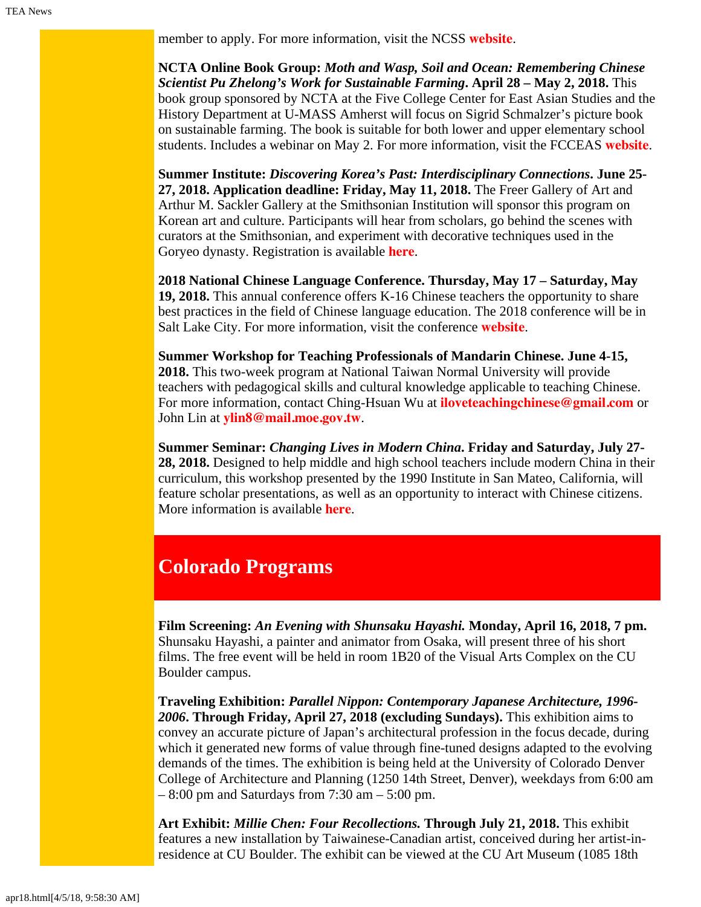member to apply. For more information, visit the NCSS **[website](http://www.socialstudies.org/professional-learning/tours)**.

**NCTA Online Book Group:** *Moth and Wasp, Soil and Ocean: Remembering Chinese Scientist Pu Zhelong's Work for Sustainable Farming***. April 28 – May 2, 2018.** This book group sponsored by NCTA at the Five College Center for East Asian Studies and the History Department at U-MASS Amherst will focus on Sigrid Schmalzer's picture book on sustainable farming. The book is suitable for both lower and upper elementary school students. Includes a webinar on May 2. For more information, visit the FCCEAS **[website](https://www.fivecolleges.edu/fcceas/moth-wasp)**.

**Summer Institute:** *Discovering Korea's Past: Interdisciplinary Connections***. June 25- 27, 2018. Application deadline: Friday, May 11, 2018.** The Freer Gallery of Art and Arthur M. Sackler Gallery at the Smithsonian Institution will sponsor this program on Korean art and culture. Participants will hear from scholars, go behind the scenes with curators at the Smithsonian, and experiment with decorative techniques used in the Goryeo dynasty. Registration is available **[here](https://www.eventbrite.com/e/discovering-koreas-past-summer-institute-interdisciplinary-connections-tickets-42289508057)**.

**2018 National Chinese Language Conference. Thursday, May 17 – Saturday, May 19, 2018.** This annual conference offers K-16 Chinese teachers the opportunity to share best practices in the field of Chinese language education. The 2018 conference will be in Salt Lake City. For more information, visit the conference **[website](https://asiasociety.org/national-chinese-language-conference)**.

**Summer Workshop for Teaching Professionals of Mandarin Chinese. June 4-15, 2018.** This two-week program at National Taiwan Normal University will provide teachers with pedagogical skills and cultural knowledge applicable to teaching Chinese. For more information, contact Ching-Hsuan Wu at **[iloveteachingchinese@gmail.com](mailto:iloveteachingchinese@gmail.com)** or John Lin at **[ylin8@mail.moe.gov.tw](mailto:ylin8@mail.moe.gov.tw)**.

**Summer Seminar:** *Changing Lives in Modern China***. Friday and Saturday, July 27- 28, 2018.** Designed to help middle and high school teachers include modern China in their curriculum, this workshop presented by the 1990 Institute in San Mateo, California, will feature scholar presentations, as well as an opportunity to interact with Chinese citizens. More information is available **[here](http://teachers.1990institute.org/2018-tw/)**.

# **Colorado Programs**

**Film Screening:** *An Evening with Shunsaku Hayashi.* **Monday, April 16, 2018, 7 pm.** Shunsaku Hayashi, a painter and animator from Osaka, will present three of his short films. The free event will be held in room 1B20 of the Visual Arts Complex on the CU Boulder campus.

**Traveling Exhibition:** *Parallel Nippon: Contemporary Japanese Architecture, 1996- 2006***. Through Friday, April 27, 2018 (excluding Sundays).** This exhibition aims to convey an accurate picture of Japan's architectural profession in the focus decade, during which it generated new forms of value through fine-tuned designs adapted to the evolving demands of the times. The exhibition is being held at the University of Colorado Denver College of Architecture and Planning (1250 14th Street, Denver), weekdays from 6:00 am  $-8:00$  pm and Saturdays from 7:30 am  $-5:00$  pm.

**Art Exhibit:** *Millie Chen: Four Recollections.* **Through July 21, 2018.** This exhibit features a new installation by Taiwainese-Canadian artist, conceived during her artist-inresidence at CU Boulder. The exhibit can be viewed at the CU Art Museum (1085 18th